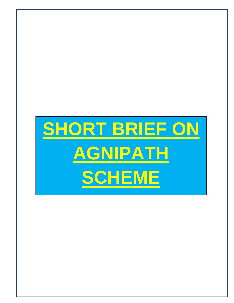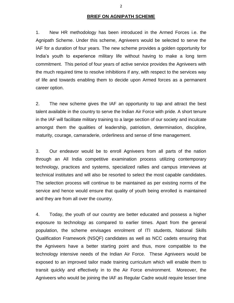## **BRIEF ON AGNIPATH SCHEME**

1. New HR methodology has been introduced in the Armed Forces i.e. the Agnipath Scheme. Under this scheme, Agniveers would be selected to serve the IAF for a duration of four years. The new scheme provides a golden opportunity for India's youth to experience military life without having to make a long term commitment. This period of four years of active service provides the Agniveers with the much required time to resolve inhibitions if any, with respect to the services way of life and towards enabling them to decide upon Armed forces as a permanent career option.

2. The new scheme gives the IAF an opportunity to tap and attract the best talent available in the country to serve the Indian Air Force with pride. A short tenure in the IAF will facilitate military training to a large section of our society and inculcate amongst them the qualities of leadership, patriotism, determination, discipline, maturity, courage, camaraderie, orderliness and sense of time management.

3. Our endeavor would be to enroll Agniveers from all parts of the nation through an All India competitive examination process utilizing contemporary technology, practices and systems, specialized rallies and campus interviews at technical institutes and will also be resorted to select the most capable candidates. The selection process will continue to be maintained as per existing norms of the service and hence would ensure that quality of youth being enrolled is maintained and they are from all over the country.

4. Today, the youth of our country are better educated and possess a higher exposure to technology as compared to earlier times. Apart from the general population, the scheme envisages enrolment of ITI students, National Skills Qualification Framework (NSQF) candidates as well as NCC cadets ensuring that the Agniveers have a better starting point and thus, more compatible to the technology intensive needs of the Indian Air Force. These Agniveers would be exposed to an improved tailor made training curriculum which will enable them to transit quickly and effectively in to the Air Force environment. Moreover, the Agniveers who would be joining the IAF as Regular Cadre would require lesser time

2